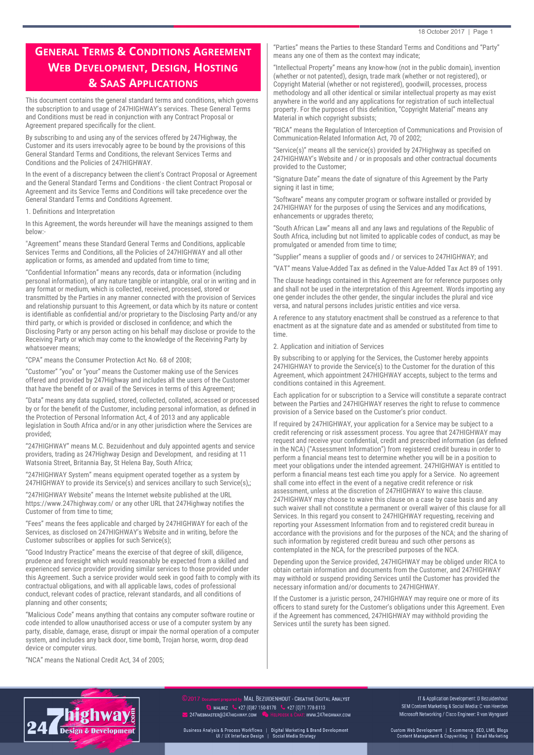# **GENERAL TERMS & CONDITIONS AGREEMENT WEB DEVELOPMENT, DESIGN, HOSTING & SAAS APPLICATIONS**

This document contains the general standard terms and conditions, which governs the subscription to and usage of 247HIGHWAY's services. These General Terms and Conditions must be read in conjunction with any Contract Proposal or Agreement prepared specifcally for the client.

By subscribing to and using any of the services offered by 247Highway, the Customer and its users irrevocably agree to be bound by the provisions of this General Standard Terms and Conditions, the relevant Services Terms and Conditions and the Policies of 247HIGHWAY.

In the event of a discrepancy between the client's Contract Proposal or Agreement and the General Standard Terms and Conditions - the client Contract Proposal or Agreement and its Service Terms and Conditions will take precedence over the General Standard Terms and Conditions Agreement.

1. Defnitions and Interpretation

In this Agreement, the words hereunder will have the meanings assigned to them below:

"Agreement" means these Standard General Terms and Conditions, applicable Services Terms and Conditions, all the Policies of 247HIGHWAY and all other application or forms, as amended and updated from time to time;

"Confdential Information" means any records, data or information (including personal information), of any nature tangible or intangible, oral or in writing and in any format or medium, which is collected, received, processed, stored or transmitted by the Parties in any manner connected with the provision of Services and relationship pursuant to this Agreement, or data which by its nature or content is identifable as confdential and/or proprietary to the Disclosing Party and/or any third party, or which is provided or disclosed in confdence; and which the Disclosing Party or any person acting on his behalf may disclose or provide to the Receiving Party or which may come to the knowledge of the Receiving Party by whatsoever means;

"CPA" means the Consumer Protection Act No. 68 of 2008;

"Customer" "you" or "your" means the Customer making use of the Services offered and provided by 247Highway and includes all the users of the Customer that have the beneft of or avail of the Services in terms of this Agreement;

"Data" means any data supplied, stored, collected, collated, accessed or processed by or for the beneft of the Customer, including personal information, as defned in the Protection of Personal Information Act, 4 of 2013 and any applicable legislation in South Africa and/or in any other jurisdiction where the Services are provided;

"247HIGHWAY" means M.C. Bezuidenhout and duly appointed agents and service providers, trading as 247Highway Design and Development, and residing at 11 Watsonia Street, Britannia Bay, St Helena Bay, South Africa;

"247HIGHWAY System" means equipment operated together as a system by 247HIGHWAY to provide its Service(s) and services ancillary to such Service(s),;

"247HIGHWAY Website" means the Internet website published at the URL https://www.247highway.com/ or any other URL that 247Highway notifes the Customer of from time to time;

"Fees" means the fees applicable and charged by 247HIGHWAY for each of the Services, as disclosed on 247HIGHWAY's Website and in writing, before the Customer subscribes or applies for such Service(s);

"Good Industry Practice" means the exercise of that degree of skill, diligence, prudence and foresight which would reasonably be expected from a skilled and experienced service provider providing similar services to those provided under this Agreement. Such a service provider would seek in good faith to comply with its contractual obligations, and with all applicable laws, codes of professional conduct, relevant codes of practice, relevant standards, and all conditions of planning and other consents;

"Malicious Code" means anything that contains any computer software routine or code intended to allow unauthorised access or use of a computer system by any party, disable, damage, erase, disrupt or impair the normal operation of a computer system, and includes any back door, time bomb, Trojan horse, worm, drop dead device or computer virus.

"NCA" means the National Credit Act, 34 of 2005;

"Parties" means the Parties to these Standard Terms and Conditions and "Party" means any one of them as the context may indicate;

"Intellectual Property" means any know-how (not in the public domain), invention (whether or not patented), design, trade mark (whether or not registered), or Copyright Material (whether or not registered), goodwill, processes, process methodology and all other identical or similar intellectual property as may exist anywhere in the world and any applications for registration of such intellectual property. For the purposes of this defnition, "Copyright Material" means any Material in which copyright subsists;

"RICA" means the Regulation of Interception of Communications and Provision of Communication-Related Information Act, 70 of 2002;

"Service(s)" means all the service(s) provided by 247Highway as specifed on 247HIGHWAY's Website and / or in proposals and other contractual documents provided to the Customer;

"Signature Date" means the date of signature of this Agreement by the Party signing it last in time;

"Software" means any computer program or software installed or provided by 247HIGHWAY for the purposes of using the Services and any modifcations, enhancements or upgrades thereto;

"South African Law" means all and any laws and regulations of the Republic of South Africa, including but not limited to applicable codes of conduct, as may be promulgated or amended from time to time;

"Supplier" means a supplier of goods and / or services to 247HIGHWAY; and

"VAT" means Value-Added Tax as defned in the Value-Added Tax Act 89 of 1991.

The clause headings contained in this Agreement are for reference purposes only and shall not be used in the interpretation of this Agreement. Words importing any one gender includes the other gender, the singular includes the plural and vice versa, and natural persons includes juristic entities and vice versa.

A reference to any statutory enactment shall be construed as a reference to that enactment as at the signature date and as amended or substituted from time to time.

2. Application and initiation of Services

By subscribing to or applying for the Services, the Customer hereby appoints 247HIGHWAY to provide the Service(s) to the Customer for the duration of this Agreement, which appointment 247HIGHWAY accepts, subject to the terms and conditions contained in this Agreement.

Each application for or subscription to a Service will constitute a separate contract between the Parties and 247HIGHWAY reserves the right to refuse to commence provision of a Service based on the Customer's prior conduct.

If required by 247HIGHWAY, your application for a Service may be subject to a credit referencing or risk assessment process. You agree that 247HIGHWAY may request and receive your confdential, credit and prescribed information (as defned in the NCA) ("Assessment Information") from registered credit bureau in order to perform a fnancial means test to determine whether you will be in a position to meet your obligations under the intended agreement. 247HIGHWAY is entitled to perform a fnancial means test each time you apply for a Service. No agreement shall come into effect in the event of a negative credit reference or risk assessment, unless at the discretion of 247HIGHWAY to waive this clause. 247HIGHWAY may choose to waive this clause on a case by case basis and any such waiver shall not constitute a permanent or overall waiver of this clause for all Services. In this regard you consent to 247HIGHWAY requesting, receiving and reporting your Assessment Information from and to registered credit bureau in accordance with the provisions and for the purposes of the NCA; and the sharing of such information by registered credit bureau and such other persons as contemplated in the NCA, for the prescribed purposes of the NCA.

Depending upon the Service provided, 247HIGHWAY may be obliged under RICA to obtain certain information and documents from the Customer, and 247HIGHWAY may withhold or suspend providing Services until the Customer has provided the necessary information and/or documents to 247HIGHWAY.

If the Customer is a juristic person, 247HIGHWAY may require one or more of its officers to stand surety for the Customer's obligations under this Agreement. Even if the Agreement has commenced, 247HIGHWAY may withhold providing the Services until the surety has been signed.



MAL BEZUIDENHOUT - CREATIVE DIGITAL ANALYST **S** MALBEZ  $\bullet$  +27 (0)87 150-8178  $\bullet$  +27 (0)71 778-8113 247WEBMASTER@247HIGHWAY.COM : www.247HIGHWAY.COM

IT & Application Development: D Bezuidenhout SEM Content Marketing & Social Media: C van Heerden Microsoft Networking / Cisco Engineer: R van Wyngaard

Custom Web Development | E-commerce, SEO, LMS, Blogs<br>Content Management & Copywriting | Email Marketing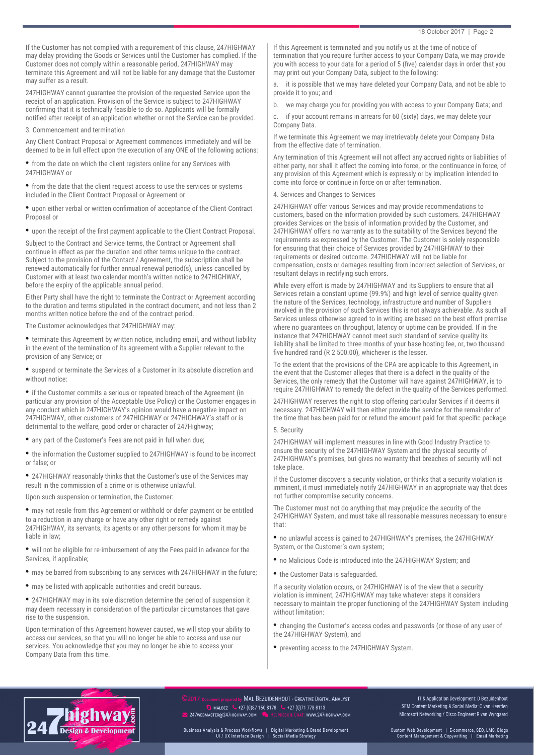If the Customer has not complied with a requirement of this clause, 247HIGHWAY may delay providing the Goods or Services until the Customer has complied. If the Customer does not comply within a reasonable period, 247HIGHWAY may terminate this Agreement and will not be liable for any damage that the Customer may suffer as a result.

247HIGHWAY cannot guarantee the provision of the requested Service upon the receipt of an application. Provision of the Service is subject to 247HIGHWAY confrming that it is technically feasible to do so. Applicants will be formally notifed after receipt of an application whether or not the Service can be provided.

#### 3. Commencement and termination

Any Client Contract Proposal or Agreement commences immediately and will be deemed to be in full effect upon the execution of any ONE of the following actions:

• from the date on which the client registers online for any Services with 247HIGHWAY or

• from the date that the client request access to use the services or systems included in the Client Contract Proposal or Agreement or

• upon either verbal or written confrmation of acceptance of the Client Contract Proposal or

• upon the receipt of the frst payment applicable to the Client Contract Proposal.

Subject to the Contract and Service terms, the Contract or Agreement shall continue in effect as per the duration and other terms unique to the contract. Subject to the provision of the Contact / Agreement, the subscription shall be renewed automatically for further annual renewal period(s), unless cancelled by Customer with at least two calendar month's written notice to 247HIGHWAY, before the expiry of the applicable annual period.

Either Party shall have the right to terminate the Contract or Agreement according to the duration and terms stipulated in the contract document, and not less than 2 months written notice before the end of the contract period.

The Customer acknowledges that 247HIGHWAY may:

• terminate this Agreement by written notice, including email, and without liability in the event of the termination of its agreement with a Supplier relevant to the provision of any Service; or

• suspend or terminate the Services of a Customer in its absolute discretion and without notice:

• if the Customer commits a serious or repeated breach of the Agreement (in particular any provision of the Acceptable Use Policy) or the Customer engages in any conduct which in 247HIGHWAY's opinion would have a negative impact on 247HIGHWAY, other customers of 247HIGHWAY or 247HIGHWAY's staff or is detrimental to the welfare, good order or character of 247Highway;

• any part of the Customer's Fees are not paid in full when due;

• the information the Customer supplied to 247HIGHWAY is found to be incorrect or false; or

• 247HIGHWAY reasonably thinks that the Customer's use of the Services may result in the commission of a crime or is otherwise unlawful.

Upon such suspension or termination, the Customer:

• may not resile from this Agreement or withhold or defer payment or be entitled to a reduction in any charge or have any other right or remedy against 247HIGHWAY, its servants, its agents or any other persons for whom it may be liable in law;

• will not be eligible for re-imbursement of any the Fees paid in advance for the Services, if applicable;

- may be barred from subscribing to any services with 247HIGHWAY in the future;
- may be listed with applicable authorities and credit bureaus.

• 247HIGHWAY may in its sole discretion determine the period of suspension it may deem necessary in consideration of the particular circumstances that gave rise to the suspension.

Upon termination of this Agreement however caused, we will stop your ability to access our services, so that you will no longer be able to access and use our services. You acknowledge that you may no longer be able to access your Company Data from this time.

If this Agreement is terminated and you notify us at the time of notice of termination that you require further access to your Company Data, we may provide you with access to your data for a period of 5 (fve) calendar days in order that you may print out your Company Data, subject to the following:

a. it is possible that we may have deleted your Company Data, and not be able to provide it to you; and

b. we may charge you for providing you with access to your Company Data; and

c. if your account remains in arrears for 60 (sixty) days, we may delete your Company Data.

If we terminate this Agreement we may irretrievably delete your Company Data from the effective date of termination.

Any termination of this Agreement will not affect any accrued rights or liabilities of either party, nor shall it affect the coming into force, or the continuance in force, of any provision of this Agreement which is expressly or by implication intended to come into force or continue in force on or after termination.

4. Services and Changes to Services

247HIGHWAY offer various Services and may provide recommendations to customers, based on the information provided by such customers. 247HIGHWAY provides Services on the basis of information provided by the Customer, and 247HIGHWAY offers no warranty as to the suitability of the Services beyond the requirements as expressed by the Customer. The Customer is solely responsible for ensuring that their choice of Services provided by 247HIGHWAY to their requirements or desired outcome. 247HIGHWAY will not be liable for compensation, costs or damages resulting from incorrect selection of Services, or resultant delays in rectifying such errors.

While every effort is made by 247HIGHWAY and its Suppliers to ensure that all Services retain a constant uptime (99.9%) and high level of service quality given the nature of the Services, technology, infrastructure and number of Suppliers involved in the provision of such Services this is not always achievable. As such all Services unless otherwise agreed to in writing are based on the best effort premise where no guarantees on throughput, latency or uptime can be provided. If in the instance that 247HIGHWAY cannot meet such standard of service quality its liability shall be limited to three months of your base hosting fee, or, two thousand fve hundred rand (R 2 500.00), whichever is the lesser.

To the extent that the provisions of the CPA are applicable to this Agreement, in the event that the Customer alleges that there is a defect in the quality of the Services, the only remedy that the Customer will have against 247HIGHWAY, is to require 247HIGHWAY to remedy the defect in the quality of the Services performed.

247HIGHWAY reserves the right to stop offering particular Services if it deems it necessary. 247HIGHWAY will then either provide the service for the remainder of the time that has been paid for or refund the amount paid for that specifc package.

# 5. Security

247HIGHWAY will implement measures in line with Good Industry Practice to ensure the security of the 247HIGHWAY System and the physical security of 247HIGHWAY's premises, but gives no warranty that breaches of security will not take place.

If the Customer discovers a security violation, or thinks that a security violation is imminent, it must immediately notify 247HIGHWAY in an appropriate way that does not further compromise security concerns.

The Customer must not do anything that may prejudice the security of the 247HIGHWAY System, and must take all reasonable measures necessary to ensure that:

• no unlawful access is gained to 247HIGHWAY's premises, the 247HIGHWAY System, or the Customer's own system;

- no Malicious Code is introduced into the 247HIGHWAY System; and
- the Customer Data is safeguarded.

If a security violation occurs, or 247HIGHWAY is of the view that a security violation is imminent, 247HIGHWAY may take whatever steps it considers necessary to maintain the proper functioning of the 247HIGHWAY System including without limitation:

• changing the Customer's access codes and passwords (or those of any user of the 247HIGHWAY System), and

• preventing access to the 247HIGHWAY System.



MAL BEZUIDENHOUT - CREATIVE DIGITAL ANALYST **S** MALBEZ  $\bullet$  +27 (0)87 150-8178  $\bullet$  +27 (0)71 778-8113 247WEBMASTER@247HIGHWAY.COM : www.247HIGHWAY.COM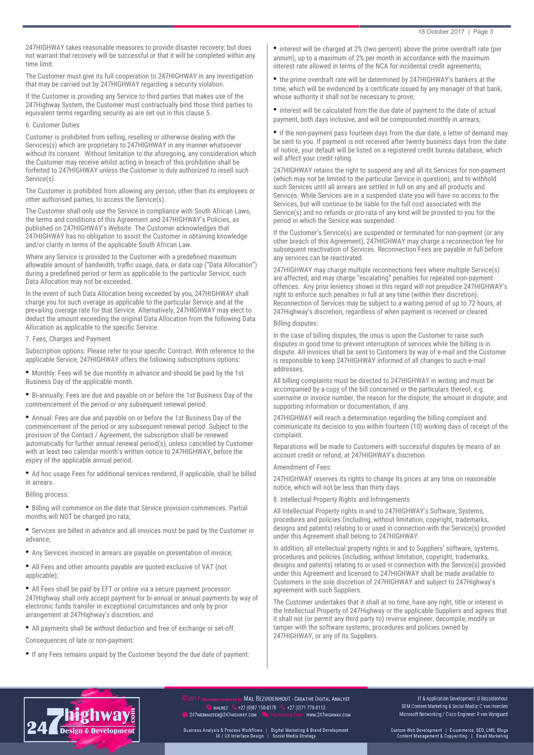247HIGHWAY takes reasonable measures to provide disaster recovery; but does not warrant that recovery will be successful or that it will be completed within any time limit.

The Customer must give its full cooperation to 247HIGHWAY in any investigation that may be carried out by 247HIGHWAY regarding a security violation.

If the Customer is providing any Service to third parties that makes use of the 247Highway System, the Customer must contractually bind those third parties to equivalent terms regarding security as are set out in this clause 5.

### 6. Customer Duties

Customer is prohibited from selling, reselling or otherwise dealing with the Services(s) which are proprietary to 247HIGHWAY in any manner whatsoever without its consent. Without limitation to the aforegoing, any consideration which the Customer may receive whilst acting in breach of this prohibition shall be forfeited to 247HIGHWAY unless the Customer is duly authorized to resell such Service(s).

The Customer is prohibited from allowing any person, other than its employees or other authorised parties, to access the Service(s).

The Customer shall only use the Service in compliance with South African Laws, the terms and conditions of this Agreement and 247HIGHWAY's Policies, as published on 247HIGHWAY's Website. The Customer acknowledges that 247HIGHWAY has no obligation to assist the Customer in obtaining knowledge and/or clarity in terms of the applicable South African Law.

Where any Service is provided to the Customer with a predefned maximum allowable amount of bandwidth, traffic usage, data, or data cap ("Data Allocation") during a predefned period or term as applicable to the particular Service, such Data Allocation may not be exceeded.

In the event of such Data Allocation being exceeded by you, 247HIGHWAY shall charge you for such overage as applicable to the particular Service and at the prevailing overage rate for that Service. Alternatively, 247HIGHWAY may elect to deduct the amount exceeding the original Data Allocation from the following Data Allocation as applicable to the specifc Service.

7. Fees, Charges and Payment

Subscription options: Please refer to your specifc Contract. With reference to the applicable Service, 247HIGHWAY offers the following subscriptions options:

• Monthly: Fees will be due monthly in advance and should be paid by the 1st Business Day of the applicable month.

• Bi-annually: Fees are due and payable on or before the 1st Business Day of the commencement of the period or any subsequent renewal period.

• Annual: Fees are due and payable on or before the 1st Business Day of the commencement of the period or any subsequent renewal period. Subject to the provision of the Contact / Agreement, the subscription shall be renewed automatically for further annual renewal period(s), unless cancelled by Customer with at least two calendar month's written notice to 247HIGHWAY, before the expiry of the applicable annual period.

• Ad hoc usage Fees for additional services rendered, if applicable, shall be billed in arrears.

Billing process:

• Billing will commence on the date that Service provision commences. Partial months will NOT be charged pro rata;

• Services are billed in advance and all invoices must be paid by the Customer in advance;

• Any Services invoiced in arrears are payable on presentation of invoice;

• All Fees and other amounts payable are quoted exclusive of VAT (not applicable);

• All Fees shall be paid by EFT or online via a secure payment processor. 247Highway shall only accept payment for bi-annual or annual payments by way of electronic funds transfer in exceptional circumstances and only by prior arrangement at 247Highway's discretion; and

• All payments shall be without deduction and free of exchange or set-off.

Consequences of late or non-payment:

• If any Fees remains unpaid by the Customer beyond the due date of payment:

• interest will be charged at 2% (two percent) above the prime overdraft rate (per annum), up to a maximum of 2% per month in accordance with the maximum interest rate allowed in terms of the NCA for incidental credit agreements;

the prime overdraft rate will be determined by 247HIGHWAY's bankers at the time, which will be evidenced by a certifcate issued by any manager of that bank, whose authority it shall not be necessary to prove;

• interest will be calculated from the due date of payment to the date of actual payment, both days inclusive, and will be compounded monthly in arrears;

• if the non-payment pass fourteen days from the due date, a letter of demand may be sent to you. If payment is not received after twenty business days from the date of notice, your default will be listed on a registered credit bureau database, which will affect your credit rating.

247HIGHWAY retains the right to suspend any and all its Services for non-payment (which may not be limited to the particular Service in question), and to withhold such Services until all arrears are settled in full on any and all products and Services. While Services are in a suspended state you will have no access to the Services, but will continue to be liable for the full cost associated with the Service(s) and no refunds or pro-rata of any kind will be provided to you for the period in which the Service was suspended.

If the Customer's Service(s) are suspended or terminated for non-payment (or any other breach of this Agreement), 247HIGHWAY may charge a reconnection fee for subsequent reactivation of Services. Reconnection Fees are payable in full before any services can be reactivated.

247HIGHWAY may charge multiple reconnections fees where multiple Service(s) are affected, and may charge "escalating" penalties for repeated non-payment offences. Any prior leniency shown in this regard will not prejudice 247HIGHWAY's right to enforce such penalties in full at any time (within their discretion). Reconnection of Services may be subject to a waiting period of up to 72 hours, at 247Highway's discretion, regardless of when payment is received or cleared.

#### Billing disputes:

In the case of billing disputes, the onus is upon the Customer to raise such disputes in good time to prevent interruption of services while the billing is in dispute. All invoices shall be sent to Customers by way of e-mail and the Customer is responsible to keep 247HIGHWAY informed of all changes to such e-mail addresses.

All billing complaints must be directed to 247HIGHWAY in writing and must be accompanied by a copy of the bill concerned or the particulars thereof, e.g. username or invoice number, the reason for the dispute; the amount in dispute; and supporting information or documentation, if any.

247HIGHWAY will reach a determination regarding the billing complaint and communicate its decision to you within fourteen (10) working days of receipt of the complaint.

Reparations will be made to Customers with successful disputes by means of an account credit or refund, at 247HIGHWAY's discretion.

#### Amendment of Fees:

247HIGHWAY reserves its rights to change its prices at any time on reasonable notice, which will not be less than thirty days.

8. Intellectual Property Rights and Infringements

All Intellectual Property rights in and to 247HIGHWAY's Software, Systems, procedures and policies (including, without limitation, copyright, trademarks, designs and patents) relating to or used in connection with the Service(s) provided under this Agreement shall belong to 247HIGHWAY.

In addition, all intellectual property rights in and to Suppliers' software, systems, procedures and policies (including, without limitation, copyright, trademarks, designs and patents) relating to or used in connection with the Service(s) provided under this Agreement and licensed to 247HIGHWAY shall be made available to Customers in the sole discretion of 247HIGHWAY and subject to 247Highway's agreement with such Suppliers.

The Customer undertakes that it shall at no time, have any right, title or interest in the Intellectual Property of 247Highway or the applicable Suppliers and agrees that it shall not (or permit any third party to) reverse engineer, decompile, modify or tamper with the software systems, procedures and policies owned by 247HIGHWAY, or any of its Suppliers.



MAL BEZUIDENHOUT - CREATIVE DIGITAL ANALYST **S** MALBEZ  $\bullet$  +27 (0)87 150-8178  $\bullet$  +27 (0)71 778-8113 247WEBMASTER@247HIGHWAY.COM : www.247HIGHWAY.COM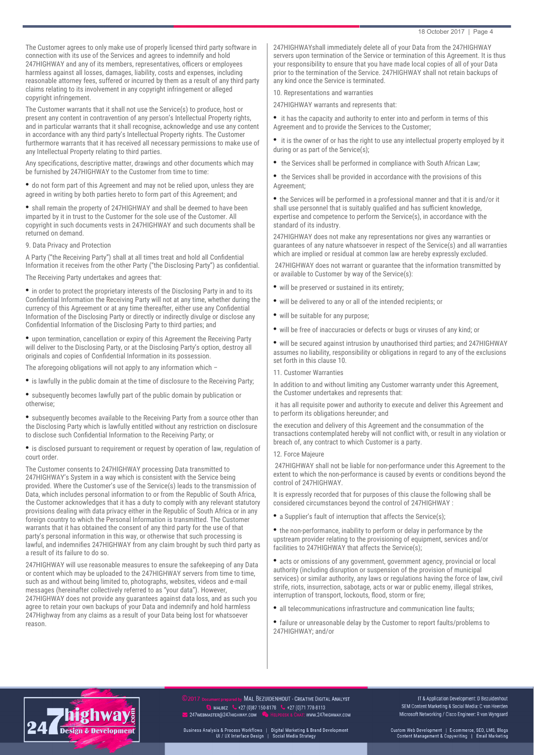The Customer agrees to only make use of properly licensed third party software in connection with its use of the Services and agrees to indemnify and hold 247HIGHWAY and any of its members, representatives, officers or employees harmless against all losses, damages, liability, costs and expenses, including reasonable attorney fees, suffered or incurred by them as a result of any third party claims relating to its involvement in any copyright infringement or alleged copyright infringement.

The Customer warrants that it shall not use the Service(s) to produce, host or present any content in contravention of any person's Intellectual Property rights, and in particular warrants that it shall recognise, acknowledge and use any content in accordance with any third party's Intellectual Property rights. The Customer furthermore warrants that it has received all necessary permissions to make use of any Intellectual Property relating to third parties.

Any specifcations, descriptive matter, drawings and other documents which may be furnished by 247HIGHWAY to the Customer from time to time:

• do not form part of this Agreement and may not be relied upon, unless they are agreed in writing by both parties hereto to form part of this Agreement; and

• shall remain the property of 247HIGHWAY and shall be deemed to have been imparted by it in trust to the Customer for the sole use of the Customer. All copyright in such documents vests in 247HIGHWAY and such documents shall be returned on demand.

9. Data Privacy and Protection

A Party ("the Receiving Party") shall at all times treat and hold all Confdential Information it receives from the other Party ("the Disclosing Party") as confdential.

The Receiving Party undertakes and agrees that:

• in order to protect the proprietary interests of the Disclosing Party in and to its Confdential Information the Receiving Party will not at any time, whether during the currency of this Agreement or at any time thereafter, either use any Confdential Information of the Disclosing Party or directly or indirectly divulge or disclose any Confdential Information of the Disclosing Party to third parties; and

• upon termination, cancellation or expiry of this Agreement the Receiving Party will deliver to the Disclosing Party, or at the Disclosing Party's option, destroy all originals and copies of Confdential Information in its possession.

The aforegoing obligations will not apply to any information which –

• is lawfully in the public domain at the time of disclosure to the Receiving Party;

• subsequently becomes lawfully part of the public domain by publication or otherwise;

• subsequently becomes available to the Receiving Party from a source other than the Disclosing Party which is lawfully entitled without any restriction on disclosure to disclose such Confdential Information to the Receiving Party; or

• is disclosed pursuant to requirement or request by operation of law, regulation of court order.

The Customer consents to 247HIGHWAY processing Data transmitted to 247HIGHWAY's System in a way which is consistent with the Service being provided. Where the Customer's use of the Service(s) leads to the transmission of Data, which includes personal information to or from the Republic of South Africa, the Customer acknowledges that it has a duty to comply with any relevant statutory provisions dealing with data privacy either in the Republic of South Africa or in any foreign country to which the Personal Information is transmitted. The Customer warrants that it has obtained the consent of any third party for the use of that party's personal information in this way, or otherwise that such processing is lawful, and indemnifes 247HIGHWAY from any claim brought by such third party as a result of its failure to do so.

247HIGHWAY will use reasonable measures to ensure the safekeeping of any Data or content which may be uploaded to the 247HIGHWAY servers from time to time, such as and without being limited to, photographs, websites, videos and e-mail messages (hereinafter collectively referred to as "your data"). However, 247HIGHWAY does not provide any guarantees against data loss, and as such you agree to retain your own backups of your Data and indemnify and hold harmless 247Highway from any claims as a result of your Data being lost for whatsoever reason.

247HIGHWAYshall immediately delete all of your Data from the 247HIGHWAY servers upon termination of the Service or termination of this Agreement. It is thus your responsibility to ensure that you have made local copies of all of your Data prior to the termination of the Service. 247HIGHWAY shall not retain backups of any kind once the Service is terminated.

10. Representations and warranties

247HIGHWAY warrants and represents that:

• it has the capacity and authority to enter into and perform in terms of this Agreement and to provide the Services to the Customer;

• it is the owner of or has the right to use any intellectual property employed by it during or as part of the Service(s);

• the Services shall be performed in compliance with South African Law;

• the Services shall be provided in accordance with the provisions of this Agreement;

• the Services will be performed in a professional manner and that it is and/or it shall use personnel that is suitably qualifed and has sufficient knowledge, expertise and competence to perform the Service(s), in accordance with the standard of its industry.

247HIGHWAY does not make any representations nor gives any warranties or guarantees of any nature whatsoever in respect of the Service(s) and all warranties which are implied or residual at common law are hereby expressly excluded.

 247HIGHWAY does not warrant or guarantee that the information transmitted by or available to Customer by way of the Service(s):

- will be preserved or sustained in its entirety;
- will be delivered to any or all of the intended recipients; or
- will be suitable for any purpose;
- will be free of inaccuracies or defects or bugs or viruses of any kind; or

• will be secured against intrusion by unauthorised third parties; and 247HIGHWAY assumes no liability, responsibility or obligations in regard to any of the exclusions set forth in this clause 10.

11. Customer Warranties

In addition to and without limiting any Customer warranty under this Agreement, the Customer undertakes and represents that:

 it has all requisite power and authority to execute and deliver this Agreement and to perform its obligations hereunder; and

the execution and delivery of this Agreement and the consummation of the transactions contemplated hereby will not confict with, or result in any violation or breach of, any contract to which Customer is a party.

12. Force Majeure

 247HIGHWAY shall not be liable for non-performance under this Agreement to the extent to which the non-performance is caused by events or conditions beyond the control of 247HIGHWAY.

It is expressly recorded that for purposes of this clause the following shall be considered circumstances beyond the control of 247HIGHWAY :

• a Supplier's fault of interruption that affects the Service(s);

• the non-performance, inability to perform or delay in performance by the upstream provider relating to the provisioning of equipment, services and/or facilities to 247HIGHWAY that affects the Service(s);

• acts or omissions of any government, government agency, provincial or local authority (including disruption or suspension of the provision of municipal services) or similar authority, any laws or regulations having the force of law, civil strife, riots, insurrection, sabotage, acts or war or public enemy, illegal strikes, interruption of transport, lockouts, flood, storm or fire;

- all telecommunications infrastructure and communication line faults;
- failure or unreasonable delay by the Customer to report faults/problems to 247HIGHWAY; and/or



MAL BEZUIDENHOUT - CREATIVE DIGITAL ANALYST **S** MALBEZ  $\bullet$  +27 (0)87 150-8178  $\bullet$  +27 (0)71 778-8113 247WEBMASTER@247HIGHWAY.COM : www.247HIGHWAY.COM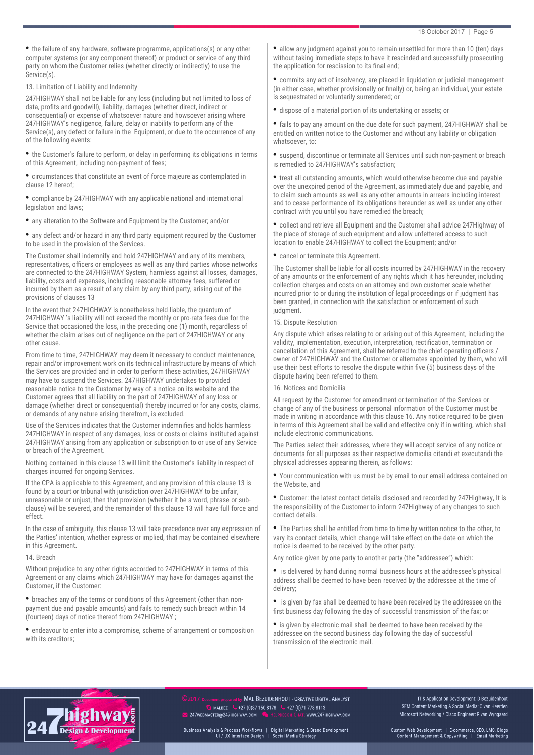• the failure of any hardware, software programme, applications(s) or any other computer systems (or any component thereof) or product or service of any third party on whom the Customer relies (whether directly or indirectly) to use the Service(s).

13. Limitation of Liability and Indemnity

247HIGHWAY shall not be liable for any loss (including but not limited to loss of data, profts and goodwill), liability, damages (whether direct, indirect or consequential) or expense of whatsoever nature and howsoever arising where 247HIGHWAY's negligence, failure, delay or inability to perform any of the Service(s), any defect or failure in the Equipment, or due to the occurrence of any of the following events:

• the Customer's failure to perform, or delay in performing its obligations in terms of this Agreement, including non-payment of fees;

• circumstances that constitute an event of force majeure as contemplated in clause 12 hereof;

• compliance by 247HIGHWAY with any applicable national and international legislation and laws:

• any alteration to the Software and Equipment by the Customer; and/or

• any defect and/or hazard in any third party equipment required by the Customer to be used in the provision of the Services.

The Customer shall indemnify and hold 247HIGHWAY and any of its members, representatives, officers or employees as well as any third parties whose networks are connected to the 247HIGHWAY System, harmless against all losses, damages, liability, costs and expenses, including reasonable attorney fees, suffered or incurred by them as a result of any claim by any third party, arising out of the provisions of clauses 13

In the event that 247HIGHWAY is nonetheless held liable, the quantum of 247HIGHWAY 's liability will not exceed the monthly or pro-rata fees due for the Service that occasioned the loss, in the preceding one (1) month, regardless of whether the claim arises out of negligence on the part of 247HIGHWAY or any other cause.

From time to time, 247HIGHWAY may deem it necessary to conduct maintenance, repair and/or improvement work on its technical infrastructure by means of which the Services are provided and in order to perform these activities, 247HIGHWAY may have to suspend the Services. 247HIGHWAY undertakes to provided reasonable notice to the Customer by way of a notice on its website and the Customer agrees that all liability on the part of 247HIGHWAY of any loss or damage (whether direct or consequential) thereby incurred or for any costs, claims, or demands of any nature arising therefrom, is excluded.

Use of the Services indicates that the Customer indemnifes and holds harmless 247HIGHWAY in respect of any damages, loss or costs or claims instituted against 247HIGHWAY arising from any application or subscription to or use of any Service or breach of the Agreement.

Nothing contained in this clause 13 will limit the Customer's liability in respect of charges incurred for ongoing Services.

If the CPA is applicable to this Agreement, and any provision of this clause 13 is found by a court or tribunal with jurisdiction over 247HIGHWAY to be unfair, unreasonable or unjust, then that provision (whether it be a word, phrase or subclause) will be severed, and the remainder of this clause 13 will have full force and effect.

In the case of ambiguity, this clause 13 will take precedence over any expression of the Parties' intention, whether express or implied, that may be contained elsewhere in this Agreement.

14. Breach

Without prejudice to any other rights accorded to 247HIGHWAY in terms of this Agreement or any claims which 247HIGHWAY may have for damages against the Customer, if the Customer:

• breaches any of the terms or conditions of this Agreement (other than nonpayment due and payable amounts) and fails to remedy such breach within 14 (fourteen) days of notice thereof from 247HIGHWAY ;

• endeavour to enter into a compromise, scheme of arrangement or composition with its creditors;

• allow any judgment against you to remain unsettled for more than 10 (ten) days without taking immediate steps to have it rescinded and successfully prosecuting the application for rescission to its final end;

• commits any act of insolvency, are placed in liquidation or judicial management (in either case, whether provisionally or fnally) or, being an individual, your estate is sequestrated or voluntarily surrendered; or

• dispose of a material portion of its undertaking or assets; or

• fails to pay any amount on the due date for such payment, 247HIGHWAY shall be entitled on written notice to the Customer and without any liability or obligation whatsoever, to:

• suspend, discontinue or terminate all Services until such non-payment or breach is remedied to 247HIGHWAY's satisfaction;

• treat all outstanding amounts, which would otherwise become due and payable over the unexpired period of the Agreement, as immediately due and payable, and to claim such amounts as well as any other amounts in arrears including interest and to cease performance of its obligations hereunder as well as under any other contract with you until you have remedied the breach;

• collect and retrieve all Equipment and the Customer shall advice 247Highway of the place of storage of such equipment and allow unfettered access to such location to enable 247HIGHWAY to collect the Equipment; and/or

• cancel or terminate this Agreement.

The Customer shall be liable for all costs incurred by 247HIGHWAY in the recovery of any amounts or the enforcement of any rights which it has hereunder, including collection charges and costs on an attorney and own customer scale whether incurred prior to or during the institution of legal proceedings or if judgment has been granted, in connection with the satisfaction or enforcement of such judgment.

#### 15. Dispute Resolution

Any dispute which arises relating to or arising out of this Agreement, including the validity, implementation, execution, interpretation, rectifcation, termination or cancellation of this Agreement, shall be referred to the chief operating officers / owner of 247HIGHWAY and the Customer or alternates appointed by them, who will use their best efforts to resolve the dispute within fve (5) business days of the dispute having been referred to them.

# 16. Notices and Domicilia

All request by the Customer for amendment or termination of the Services or change of any of the business or personal information of the Customer must be made in writing in accordance with this clause 16. Any notice required to be given in terms of this Agreement shall be valid and effective only if in writing, which shall include electronic communications.

The Parties select their addresses, where they will accept service of any notice or documents for all purposes as their respective domicilia citandi et executandi the physical addresses appearing therein, as follows:

• Your communication with us must be by email to our email address contained on the Website, and

• Customer: the latest contact details disclosed and recorded by 247Highway, It is the responsibility of the Customer to inform 247Highway of any changes to such contact details.

• The Parties shall be entitled from time to time by written notice to the other, to vary its contact details, which change will take effect on the date on which the notice is deemed to be received by the other party.

Any notice given by one party to another party (the "addressee") which:

• is delivered by hand during normal business hours at the addressee's physical address shall be deemed to have been received by the addressee at the time of delivery;

• is given by fax shall be deemed to have been received by the addressee on the frst business day following the day of successful transmission of the fax; or

• is given by electronic mail shall be deemed to have been received by the addressee on the second business day following the day of successful transmission of the electronic mail.



MAL BEZUIDENHOUT - CREATIVE DIGITAL ANALYST **S** MALBEZ  $\bullet$  +27 (0)87 150-8178  $\bullet$  +27 (0)71 778-8113 247WEBMASTER@247HIGHWAY.COM : www.247HIGHWAY.COM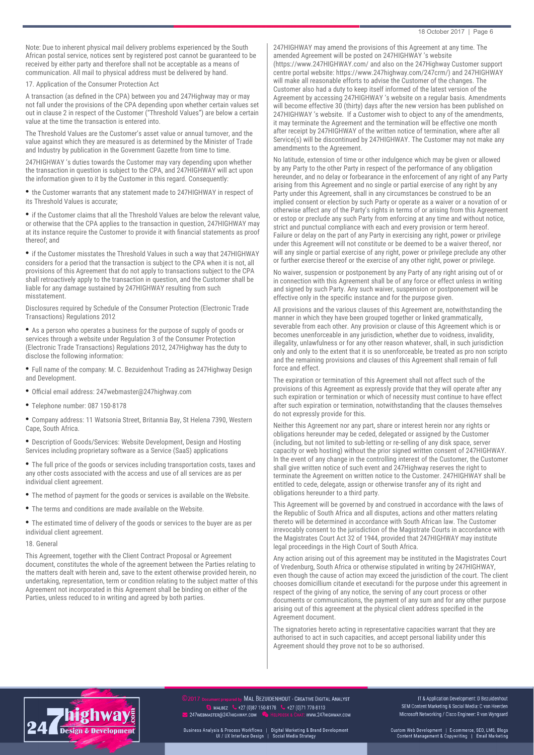#### 18 October 2017 | Page 6

Note: Due to inherent physical mail delivery problems experienced by the South African postal service, notices sent by registered post cannot be guaranteed to be received by either party and therefore shall not be acceptable as a means of communication. All mail to physical address must be delivered by hand.

17. Application of the Consumer Protection Act

A transaction (as defned in the CPA) between you and 247Highway may or may not fall under the provisions of the CPA depending upon whether certain values set out in clause 2 in respect of the Customer ("Threshold Values") are below a certain value at the time the transaction is entered into.

The Threshold Values are the Customer's asset value or annual turnover, and the value against which they are measured is as determined by the Minister of Trade and Industry by publication in the Government Gazette from time to time.

247HIGHWAY 's duties towards the Customer may vary depending upon whether the transaction in question is subject to the CPA, and 247HIGHWAY will act upon the information given to it by the Customer in this regard. Consequently:

• the Customer warrants that any statement made to 247HIGHWAY in respect of its Threshold Values is accurate;

• if the Customer claims that all the Threshold Values are below the relevant value, or otherwise that the CPA applies to the transaction in question, 247HIGHWAY may at its instance require the Customer to provide it with fnancial statements as proof thereof; and

• if the Customer misstates the Threshold Values in such a way that 247HIGHWAY considers for a period that the transaction is subject to the CPA when it is not, all provisions of this Agreement that do not apply to transactions subject to the CPA shall retroactively apply to the transaction in question, and the Customer shall be liable for any damage sustained by 247HIGHWAY resulting from such misstatement.

Disclosures required by Schedule of the Consumer Protection (Electronic Trade Transactions) Regulations 2012

• As a person who operates a business for the purpose of supply of goods or services through a website under Regulation 3 of the Consumer Protection (Electronic Trade Transactions) Regulations 2012, 247Highway has the duty to disclose the following information:

• Full name of the company: M. C. Bezuidenhout Trading as 247Highway Design and Development.

- Official email address: 247webmaster@247highway.com
- Telephone number: 087 150-8178

• Company address: 11 Watsonia Street, Britannia Bay, St Helena 7390, Western Cape, South Africa.

• Description of Goods/Services: Website Development, Design and Hosting Services including proprietary software as a Service (SaaS) applications

• The full price of the goods or services including transportation costs, taxes and any other costs associated with the access and use of all services are as per individual client agreement.

- The method of payment for the goods or services is available on the Website.
- The terms and conditions are made available on the Website.
- The estimated time of delivery of the goods or services to the buyer are as per individual client agreement.

## 18. General

This Agreement, together with the Client Contract Proposal or Agreement document, constitutes the whole of the agreement between the Parties relating to the matters dealt with herein and, save to the extent otherwise provided herein, no undertaking, representation, term or condition relating to the subject matter of this Agreement not incorporated in this Agreement shall be binding on either of the Parties, unless reduced to in writing and agreed by both parties.

247HIGHWAY may amend the provisions of this Agreement at any time. The amended Agreement will be posted on 247HIGHWAY 's website (https://www.247HIGHWAY.com/ and also on the 247Highway Customer support centre portal website: https://www.247highway.com/247crm/) and 247HIGHWAY will make all reasonable efforts to advise the Customer of the changes. The Customer also had a duty to keep itself informed of the latest version of the Agreement by accessing 247HIGHWAY 's website on a regular basis. Amendments will become effective 30 (thirty) days after the new version has been published on 247HIGHWAY 's website. If a Customer wish to object to any of the amendments, it may terminate the Agreement and the termination will be effective one month after receipt by 247HIGHWAY of the written notice of termination, where after all Service(s) will be discontinued by 247HIGHWAY. The Customer may not make any amendments to the Agreement.

No latitude, extension of time or other indulgence which may be given or allowed by any Party to the other Party in respect of the performance of any obligation hereunder, and no delay or forbearance in the enforcement of any right of any Party arising from this Agreement and no single or partial exercise of any right by any Party under this Agreement, shall in any circumstances be construed to be an implied consent or election by such Party or operate as a waiver or a novation of or otherwise affect any of the Party's rights in terms of or arising from this Agreement or estop or preclude any such Party from enforcing at any time and without notice, strict and punctual compliance with each and every provision or term hereof. Failure or delay on the part of any Party in exercising any right, power or privilege under this Agreement will not constitute or be deemed to be a waiver thereof, nor will any single or partial exercise of any right, power or privilege preclude any other or further exercise thereof or the exercise of any other right, power or privilege.

No waiver, suspension or postponement by any Party of any right arising out of or in connection with this Agreement shall be of any force or effect unless in writing and signed by such Party. Any such waiver, suspension or postponement will be effective only in the specifc instance and for the purpose given.

All provisions and the various clauses of this Agreement are, notwithstanding the manner in which they have been grouped together or linked grammatically, severable from each other. Any provision or clause of this Agreement which is or becomes unenforceable in any jurisdiction, whether due to voidness, invalidity, illegality, unlawfulness or for any other reason whatever, shall, in such jurisdiction only and only to the extent that it is so unenforceable, be treated as pro non scripto and the remaining provisions and clauses of this Agreement shall remain of full force and effect.

The expiration or termination of this Agreement shall not affect such of the provisions of this Agreement as expressly provide that they will operate after any such expiration or termination or which of necessity must continue to have effect after such expiration or termination, notwithstanding that the clauses themselves do not expressly provide for this.

Neither this Agreement nor any part, share or interest herein nor any rights or obligations hereunder may be ceded, delegated or assigned by the Customer (including, but not limited to sub-letting or re-selling of any disk space, server capacity or web hosting) without the prior signed written consent of 247HIGHWAY. In the event of any change in the controlling interest of the Customer, the Customer shall give written notice of such event and 247Highway reserves the right to terminate the Agreement on written notice to the Customer. 247HIGHWAY shall be entitled to cede, delegate, assign or otherwise transfer any of its right and obligations hereunder to a third party.

This Agreement will be governed by and construed in accordance with the laws of the Republic of South Africa and all disputes, actions and other matters relating thereto will be determined in accordance with South African law. The Customer irrevocably consent to the jurisdiction of the Magistrate Courts in accordance with the Magistrates Court Act 32 of 1944, provided that 247HIGHWAY may institute legal proceedings in the High Court of South Africa.

Any action arising out of this agreement may be instituted in the Magistrates Court of Vredenburg, South Africa or otherwise stipulated in writing by 247HIGHWAY, even though the cause of action may exceed the jurisdiction of the court. The client chooses domicillium citande et executandi for the purpose under this agreement in respect of the giving of any notice, the serving of any court process or other documents or communications, the payment of any sum and for any other purpose arising out of this agreement at the physical client address specifed in the Agreement document.

The signatories hereto acting in representative capacities warrant that they are authorised to act in such capacities, and accept personal liability under this Agreement should they prove not to be so authorised.



MAL BEZUIDENHOUT - CREATIVE DIGITAL ANALYST **S** MALBEZ  $\bullet$  +27 (0)87 150-8178  $\bullet$  +27 (0)71 778-8113 247WEBMASTER@247HIGHWAY.COM : www.247HIGHWAY.COM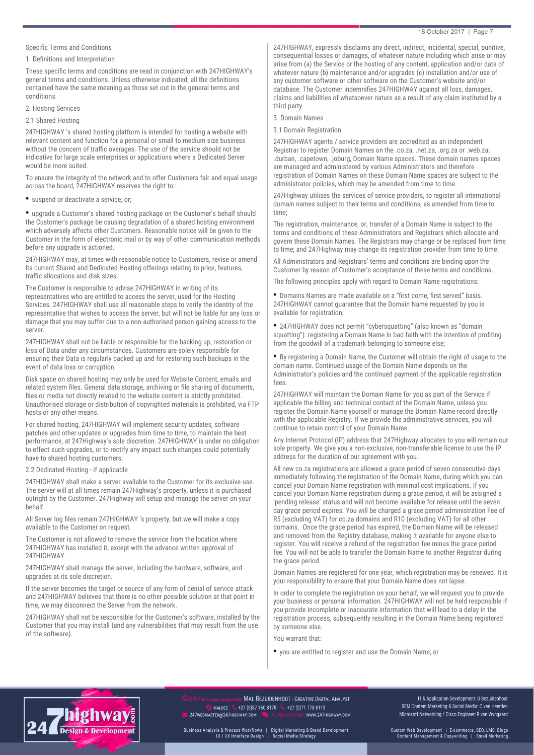# Specific Terms and Conditions

## 1. Defnitions and Interpretation

These specifc terms and conditions are read in conjunction with 247HIGHWAY's general terms and conditions. Unless otherwise indicated, all the defnitions contained have the same meaning as those set out in the general terms and conditions.

# 2. Hosting Services

## 2.1 Shared Hosting

247HIGHWAY 's shared hosting platform is intended for hosting a website with relevant content and function for a personal or small to medium size business without the concern of traffic overages. The use of the service should not be indicative for large scale enterprises or applications where a Dedicated Server would be more suited.

To ensure the integrity of the network and to offer Customers fair and equal usage across the board, 247HIGHWAY reserves the right to:-

## • suspend or deactivate a service, or;

• upgrade a Customer's shared hosting package on the Customer's behalf should the Customer's package be causing degradation of a shared hosting environment which adversely affects other Customers. Reasonable notice will be given to the Customer in the form of electronic mail or by way of other communication methods before any upgrade is actioned.

247HIGHWAY may, at times with reasonable notice to Customers, revise or amend its current Shared and Dedicated Hosting offerings relating to price, features, traffic allocations and disk sizes.

The Customer is responsible to advise 247HIGHWAY in writing of its representatives who are entitled to access the server, used for the Hosting Services. 247HIGHWAY shall use all reasonable steps to verify the identity of the representative that wishes to access the server, but will not be liable for any loss or damage that you may suffer due to a non-authorised person gaining access to the server.

247HIGHWAY shall not be liable or responsible for the backing up, restoration or loss of Data under any circumstances. Customers are solely responsible for ensuring their Data is regularly backed up and for restoring such backups in the event of data loss or corruption.

Disk space on shared hosting may only be used for Website Content, emails and related system fles. General data storage, archiving or fle sharing of documents, fles or media not directly related to the website content is strictly prohibited. Unauthorised storage or distribution of copyrighted materials is prohibited, via FTP hosts or any other means.

For shared hosting, 247HIGHWAY will implement security updates, software patches and other updates or upgrades from time to time, to maintain the best performance, at 247Highway's sole discretion. 247HIGHWAY is under no obligation to effect such upgrades, or to rectify any impact such changes could potentially have to shared hosting customers.

## 2.2 Dedicated Hosting - if applicable

247HIGHWAY shall make a server available to the Customer for its exclusive use. The server will at all times remain 247Highway's property, unless it is purchased outright by the Customer. 247Highway will setup and manage the server on your behalf.

All Server log fles remain 247HIGHWAY 's property, but we will make a copy available to the Customer on request.

The Customer is not allowed to remove the service from the location where 247HIGHWAY has installed it, except with the advance written approval of 247HIGHWAY

247HIGHWAY shall manage the server, including the hardware, software, and upgrades at its sole discretion.

If the server becomes the target or source of any form of denial of service attack and 247HIGHWAY believes that there is no other possible solution at that point in time, we may disconnect the Server from the network.

247HIGHWAY shall not be responsible for the Customer's software, installed by the Customer that you may install (and any vulnerabilities that may result from the use of the software).

247HIGHWAY, expressly disclaims any direct, indirect, incidental, special, punitive, consequential losses or damages, of whatever nature including which arise or may arise from (a) the Service or the hosting of any content, application and/or data of whatever nature (b) maintenance and/or upgrades (c) installation and/or use of any customer software or other software on the Customer's website and/or database. The Customer indemnifes 247HIGHWAY against all loss, damages, claims and liabilities of whatsoever nature as a result of any claim instituted by a third party.

3. Domain Names

## 3.1 Domain Registration

247HIGHWAY agents / service providers are accredited as an independent Registrar to register Domain Names on the .co.za, .net.za, .org.za or .web.za; .durban, .capetown, .joburg, Domain Name spaces. These domain names spaces are managed and administered by various Administrators and therefore registration of Domain Names on these Domain Name spaces are subject to the administrator policies, which may be amended from time to time.

247Highway utilises the services of service providers, to register all international domain names subject to their terms and conditions, as amended from time to time;

The registration, maintenance, or, transfer of a Domain Name is subject to the terms and conditions of these Administrators and Registrars which allocate and govern these Domain Names. The Registrars may change or be replaced from time to time; and 247Highway may change its registration provider from time to time.

All Administrators and Registrars' terms and conditions are binding upon the Customer by reason of Customer's acceptance of these terms and conditions.

The following principles apply with regard to Domain Name registrations:

• Domains Names are made available on a "frst come, frst served" basis. 247HIGHWAY cannot guarantee that the Domain Name requested by you is available for registration;

• 247HIGHWAY does not permit "cybersquatting" (also known as "domain squatting"): registering a Domain Name in bad faith with the intention of profting from the goodwill of a trademark belonging to someone else;

• By registering a Domain Name, the Customer will obtain the right of usage to the domain name. Continued usage of the Domain Name depends on the Administrator's policies and the continued payment of the applicable registration fees.

247HIGHWAY will maintain the Domain Name for you as part of the Service if applicable the billing and technical contact of the Domain Name, unless you register the Domain Name yourself or manage the Domain Name record directly with the applicable Registry. If we provide the administrative services, you will continue to retain control of your Domain Name.

Any Internet Protocol (IP) address that 247Highway allocates to you will remain our sole property. We give you a non-exclusive, non-transferable license to use the IP address for the duration of our agreement with you.

All new co.za registrations are allowed a grace period of seven consecutive days immediately following the registration of the Domain Name, during which you can cancel your Domain Name registration with minimal cost implications. If you cancel your Domain Name registration during a grace period, it will be assigned a 'pending release' status and will not become available for release until the seven day grace period expires. You will be charged a grace period administration Fee of R5 (excluding VAT) for co.za domains and R10 (excluding VAT) for all other domains. Once the grace period has expired, the Domain Name will be released and removed from the Registry database, making it available for anyone else to register. You will receive a refund of the registration fee minus the grace period fee. You will not be able to transfer the Domain Name to another Registrar during the grace period.

Domain Names are registered for one year, which registration may be renewed. It is your responsibility to ensure that your Domain Name does not lapse.

In order to complete the registration on your behalf, we will request you to provide your business or personal information. 247HIGHWAY will not be held responsible if you provide incomplete or inaccurate information that will lead to a delay in the registration process, subsequently resulting in the Domain Name being registered by someone else.

You warrant that:

• you are entitled to register and use the Domain Name; or



MAL BEZUIDENHOUT - CREATIVE DIGITAL ANALYST **S** MALBEZ  $\bullet$  +27 (0)87 150-8178  $\bullet$  +27 (0)71 778-8113 247WEBMASTER@247HIGHWAY.COM : www.247HIGHWAY.COM